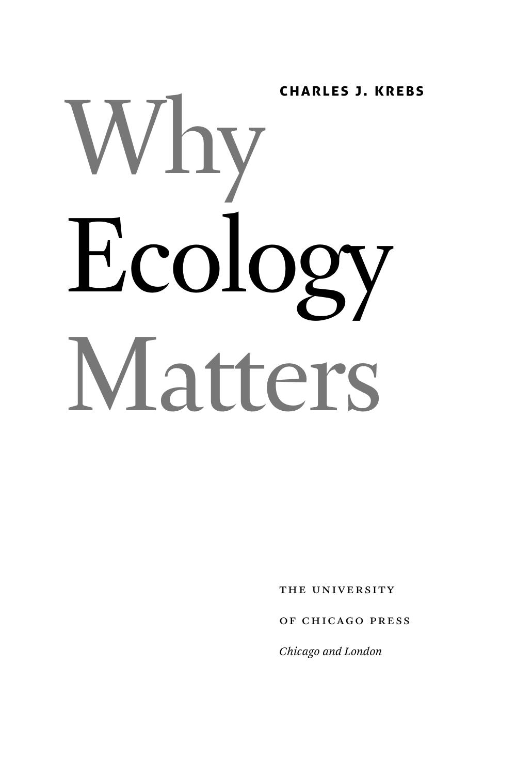# Why<sup>CHARLES J. KREBS</sup> Ecology Matters

The University

of Chicago Press

*Chicago and London*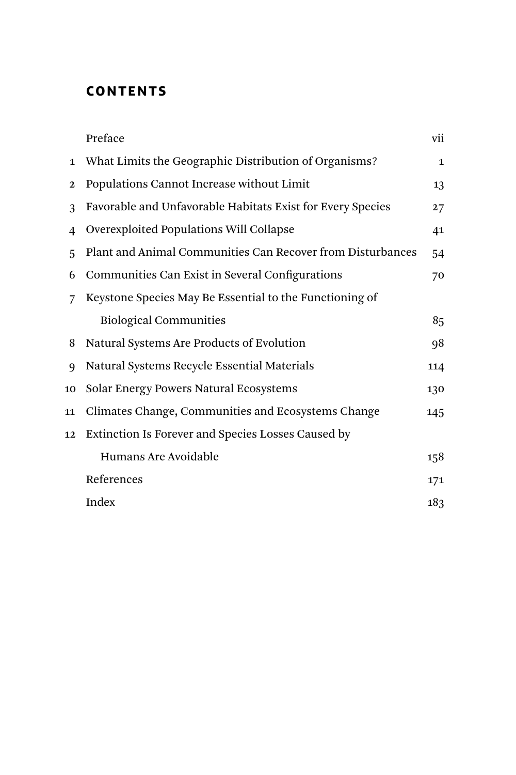# **Contents**

|              | Preface                                                    | vii          |
|--------------|------------------------------------------------------------|--------------|
| $\mathbf{1}$ | What Limits the Geographic Distribution of Organisms?      | $\mathbf{1}$ |
| $\mathbf{2}$ | Populations Cannot Increase without Limit                  | 13           |
| 3            | Favorable and Unfavorable Habitats Exist for Every Species | 27           |
| 4            | Overexploited Populations Will Collapse                    | 41           |
| 5            | Plant and Animal Communities Can Recover from Disturbances | 54           |
| 6            | Communities Can Exist in Several Configurations            | 70           |
| 7            | Keystone Species May Be Essential to the Functioning of    |              |
|              | <b>Biological Communities</b>                              | 85           |
| 8            | Natural Systems Are Products of Evolution                  | 98           |
| $\mathbf{q}$ | Natural Systems Recycle Essential Materials                | 114          |
| 10           | Solar Energy Powers Natural Ecosystems                     | 130          |
| 11           | Climates Change, Communities and Ecosystems Change         | 145          |
| 12           | Extinction Is Forever and Species Losses Caused by         |              |
|              | Humans Are Avoidable                                       | 158          |
|              | References                                                 | 171          |
|              | Index                                                      | 183          |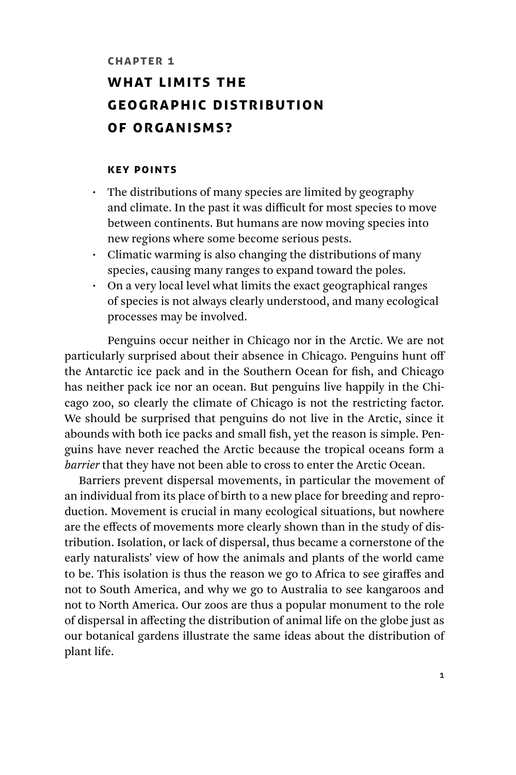### **Chapter 1**

# **What Limits the Geographic Distribution of Organisms?**

# **Key Points**

- The distributions of many species are limited by geography and climate. In the past it was difficult for most species to move between continents. But humans are now moving species into new regions where some become serious pests.
- Climatic warming is also changing the distributions of many species, causing many ranges to expand toward the poles.
- On a very local level what limits the exact geographical ranges of species is not always clearly understood, and many ecological processes may be involved.

Penguins occur neither in Chicago nor in the Arctic. We are not particularly surprised about their absence in Chicago. Penguins hunt off the Antarctic ice pack and in the Southern Ocean for fish, and Chicago has neither pack ice nor an ocean. But penguins live happily in the Chicago zoo, so clearly the climate of Chicago is not the restricting factor. We should be surprised that penguins do not live in the Arctic, since it abounds with both ice packs and small fish, yet the reason is simple. Penguins have never reached the Arctic because the tropical oceans form a *barrier* that they have not been able to cross to enter the Arctic Ocean.

Barriers prevent dispersal movements, in particular the movement of an individual from its place of birth to a new place for breeding and reproduction. Movement is crucial in many ecological situations, but nowhere are the effects of movements more clearly shown than in the study of distribution. Isolation, or lack of dispersal, thus became a cornerstone of the early naturalists' view of how the animals and plants of the world came to be. This isolation is thus the reason we go to Africa to see giraffes and not to South America, and why we go to Australia to see kangaroos and not to North America. Our zoos are thus a popular monument to the role of dispersal in affecting the distribution of animal life on the globe just as our botanical gardens illustrate the same ideas about the distribution of plant life.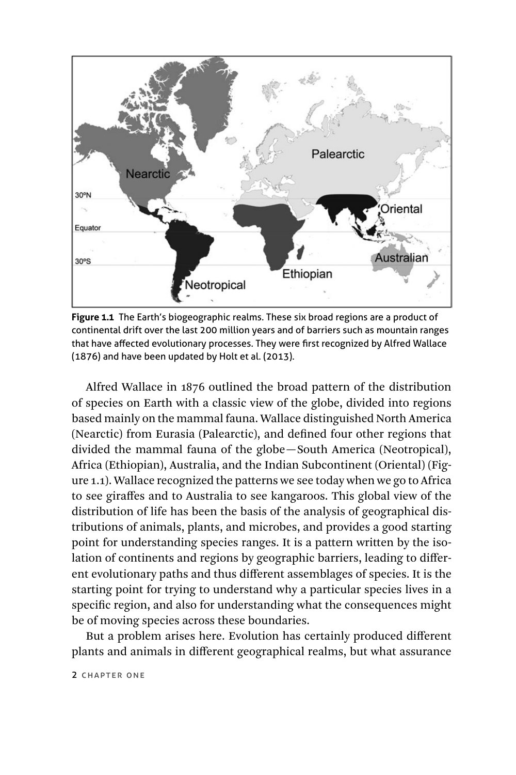

**Figure 1.1** The Earth's biogeographic realms. These six broad regions are a product of continental drift over the last 200 million years and of barriers such as mountain ranges that have affected evolutionary processes. They were first recognized by Alfred Wallace (1876) and have been updated by Holt et al. (2013).

Alfred Wallace in 1876 outlined the broad pattern of the distribution of species on Earth with a classic view of the globe, divided into regions based mainly on the mammal fauna. Wallace distinguished North America (Nearctic) from Eurasia (Palearctic), and defined four other regions that divided the mammal fauna of the globe—South America (Neotropical), Africa (Ethiopian), Australia, and the Indian Subcontinent (Oriental) (Figure 1.1). Wallace recognized the patterns we see today when we go to Africa to see giraffes and to Australia to see kangaroos. This global view of the distribution of life has been the basis of the analysis of geographical distributions of animals, plants, and microbes, and provides a good starting point for understanding species ranges. It is a pattern written by the isolation of continents and regions by geographic barriers, leading to different evolutionary paths and thus different assemblages of species. It is the starting point for trying to understand why a particular species lives in a specific region, and also for understanding what the consequences might be of moving species across these boundaries.

But a problem arises here. Evolution has certainly produced different plants and animals in different geographical realms, but what assurance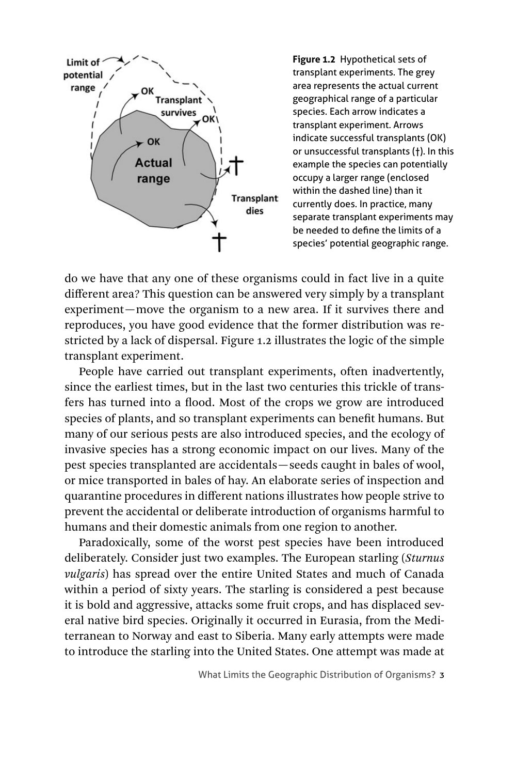

**Figure 1.2** Hypothetical sets of transplant experiments. The grey area represents the actual current geographical range of a particular species. Each arrow indicates a transplant experiment. Arrows indicate successful transplants (OK) or unsuccessful transplants (†). In this example the species can potentially occupy a larger range (enclosed within the dashed line) than it currently does. In practice, many separate transplant experiments may be needed to define the limits of a species' potential geographic range.

do we have that any one of these organisms could in fact live in a quite different area? This question can be answered very simply by a transplant experiment—move the organism to a new area. If it survives there and reproduces, you have good evidence that the former distribution was restricted by a lack of dispersal. Figure 1.2 illustrates the logic of the simple transplant experiment.

People have carried out transplant experiments, often inadvertently, since the earliest times, but in the last two centuries this trickle of transfers has turned into a flood. Most of the crops we grow are introduced species of plants, and so transplant experiments can benefit humans. But many of our serious pests are also introduced species, and the ecology of invasive species has a strong economic impact on our lives. Many of the pest species transplanted are accidentals—seeds caught in bales of wool, or mice transported in bales of hay. An elaborate series of inspection and quarantine procedures in different nations illustrates how people strive to prevent the accidental or deliberate introduction of organisms harmful to humans and their domestic animals from one region to another.

Paradoxically, some of the worst pest species have been introduced deliberately. Consider just two examples. The European starling (*Sturnus vulgaris*) has spread over the entire United States and much of Canada within a period of sixty years. The starling is considered a pest because it is bold and aggressive, attacks some fruit crops, and has displaced several native bird species. Originally it occurred in Eurasia, from the Mediterranean to Norway and east to Siberia. Many early attempts were made to introduce the starling into the United States. One attempt was made at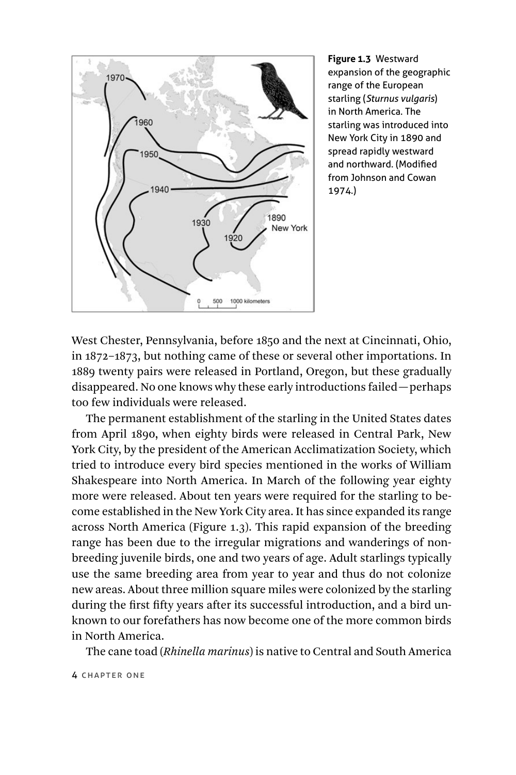

**Figure 1.3** Westward expansion of the geographic range of the European starling (*Sturnus vulgaris*) in North America. The starling was introduced into New York City in 1890 and spread rapidly westward and northward. (Modified from Johnson and Cowan 1974.)

West Chester, Pennsylvania, before 1850 and the next at Cincinnati, Ohio, in 1872–1873, but nothing came of these or several other importations. In 1889 twenty pairs were released in Portland, Oregon, but these gradually disappeared. No one knows why these early introductions failed—perhaps too few individuals were released.

The permanent establishment of the starling in the United States dates from April 1890, when eighty birds were released in Central Park, New York City, by the president of the American Acclimatization Society, which tried to introduce every bird species mentioned in the works of William Shakespeare into North America. In March of the following year eighty more were released. About ten years were required for the starling to become established in the New York City area. It has since expanded its range across North America (Figure 1.3). This rapid expansion of the breeding range has been due to the irregular migrations and wanderings of nonbreeding juvenile birds, one and two years of age. Adult starlings typically use the same breeding area from year to year and thus do not colonize new areas. About three million square miles were colonized by the starling during the first fifty years after its successful introduction, and a bird unknown to our forefathers has now become one of the more common birds in North America.

The cane toad (*Rhinella marinus*) is native to Central and South America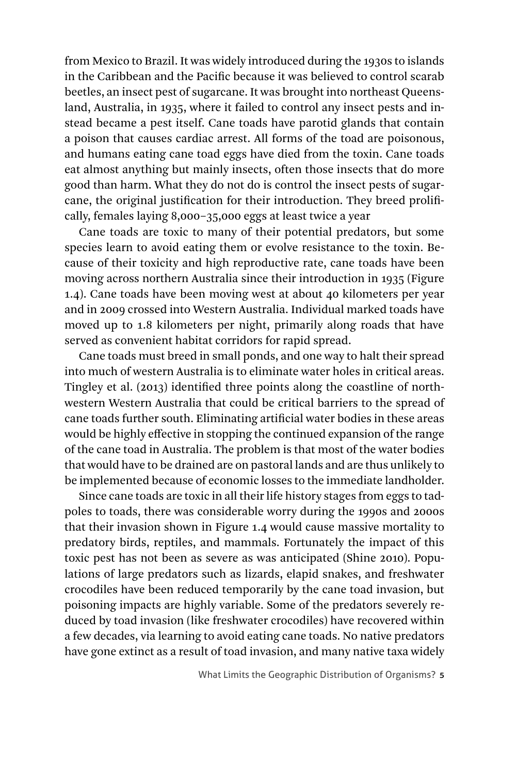from Mexico to Brazil. It was widely introduced during the 1930s to islands in the Caribbean and the Pacific because it was believed to control scarab beetles, an insect pest of sugarcane. It was brought into northeast Queensland, Australia, in 1935, where it failed to control any insect pests and instead became a pest itself. Cane toads have parotid glands that contain a poison that causes cardiac arrest. All forms of the toad are poisonous, and humans eating cane toad eggs have died from the toxin. Cane toads eat almost anything but mainly insects, often those insects that do more good than harm. What they do not do is control the insect pests of sugarcane, the original justification for their introduction. They breed prolifically, females laying 8,000–35,000 eggs at least twice a year

Cane toads are toxic to many of their potential predators, but some species learn to avoid eating them or evolve resistance to the toxin. Because of their toxicity and high reproductive rate, cane toads have been moving across northern Australia since their introduction in 1935 (Figure 1.4). Cane toads have been moving west at about 40 kilometers per year and in 2009 crossed into Western Australia. Individual marked toads have moved up to 1.8 kilometers per night, primarily along roads that have served as convenient habitat corridors for rapid spread.

Cane toads must breed in small ponds, and one way to halt their spread into much of western Australia is to eliminate water holes in critical areas. Tingley et al. (2013) identified three points along the coastline of northwestern Western Australia that could be critical barriers to the spread of cane toads further south. Eliminating artificial water bodies in these areas would be highly effective in stopping the continued expansion of the range of the cane toad in Australia. The problem is that most of the water bodies that would have to be drained are on pastoral lands and are thus unlikely to be implemented because of economic losses to the immediate landholder.

Since cane toads are toxic in all their life history stages from eggs to tadpoles to toads, there was considerable worry during the 1990s and 2000s that their invasion shown in Figure 1.4 would cause massive mortality to predatory birds, reptiles, and mammals. Fortunately the impact of this toxic pest has not been as severe as was anticipated (Shine 2010). Populations of large predators such as lizards, elapid snakes, and freshwater crocodiles have been reduced temporarily by the cane toad invasion, but poisoning impacts are highly variable. Some of the predators severely reduced by toad invasion (like freshwater crocodiles) have recovered within a few decades, via learning to avoid eating cane toads. No native predators have gone extinct as a result of toad invasion, and many native taxa widely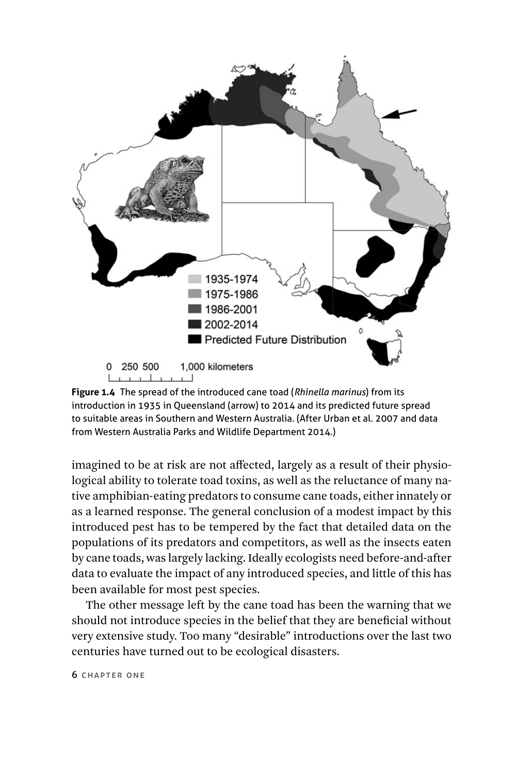

**Figure 1.4** The spread of the introduced cane toad (*Rhinella marinus*) from its introduction in 1935 in Queensland (arrow) to 2014 and its predicted future spread to suitable areas in Southern and Western Australia. (After Urban et al. 2007 and data from Western Australia Parks and Wildlife Department 2014.)

imagined to be at risk are not affected, largely as a result of their physiological ability to tolerate toad toxins, as well as the reluctance of many native amphibian-eating predators to consume cane toads, either innately or as a learned response. The general conclusion of a modest impact by this introduced pest has to be tempered by the fact that detailed data on the populations of its predators and competitors, as well as the insects eaten by cane toads, was largely lacking. Ideally ecologists need before-and-after data to evaluate the impact of any introduced species, and little of this has been available for most pest species.

The other message left by the cane toad has been the warning that we should not introduce species in the belief that they are beneficial without very extensive study. Too many "desirable" introductions over the last two centuries have turned out to be ecological disasters.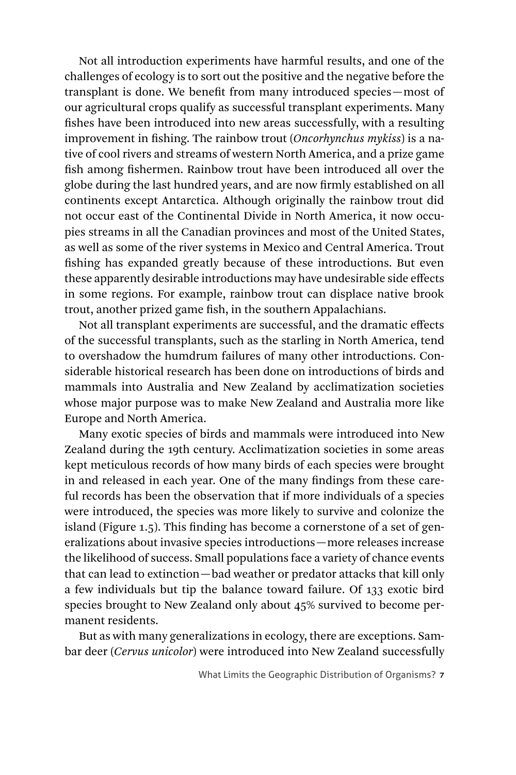Not all introduction experiments have harmful results, and one of the challenges of ecology is to sort out the positive and the negative before the transplant is done. We benefit from many introduced species—most of our agricultural crops qualify as successful transplant experiments. Many fishes have been introduced into new areas successfully, with a resulting improvement in fishing. The rainbow trout (*Oncorhynchus mykiss*) is a native of cool rivers and streams of western North America, and a prize game fish among fishermen. Rainbow trout have been introduced all over the globe during the last hundred years, and are now firmly established on all continents except Antarctica. Although originally the rainbow trout did not occur east of the Continental Divide in North America, it now occupies streams in all the Canadian provinces and most of the United States, as well as some of the river systems in Mexico and Central America. Trout fishing has expanded greatly because of these introductions. But even these apparently desirable introductions may have undesirable side effects in some regions. For example, rainbow trout can displace native brook trout, another prized game fish, in the southern Appalachians.

Not all transplant experiments are successful, and the dramatic effects of the successful transplants, such as the starling in North America, tend to overshadow the humdrum failures of many other introductions. Considerable historical research has been done on introductions of birds and mammals into Australia and New Zealand by acclimatization societies whose major purpose was to make New Zealand and Australia more like Europe and North America.

Many exotic species of birds and mammals were introduced into New Zealand during the 19th century. Acclimatization societies in some areas kept meticulous records of how many birds of each species were brought in and released in each year. One of the many findings from these careful records has been the observation that if more individuals of a species were introduced, the species was more likely to survive and colonize the island (Figure 1.5). This finding has become a cornerstone of a set of generalizations about invasive species introductions—more releases increase the likelihood of success. Small populations face a variety of chance events that can lead to extinction—bad weather or predator attacks that kill only a few individuals but tip the balance toward failure. Of 133 exotic bird species brought to New Zealand only about 45% survived to become permanent residents.

But as with many generalizations in ecology, there are exceptions. Sambar deer (*Cervus unicolor*) were introduced into New Zealand successfully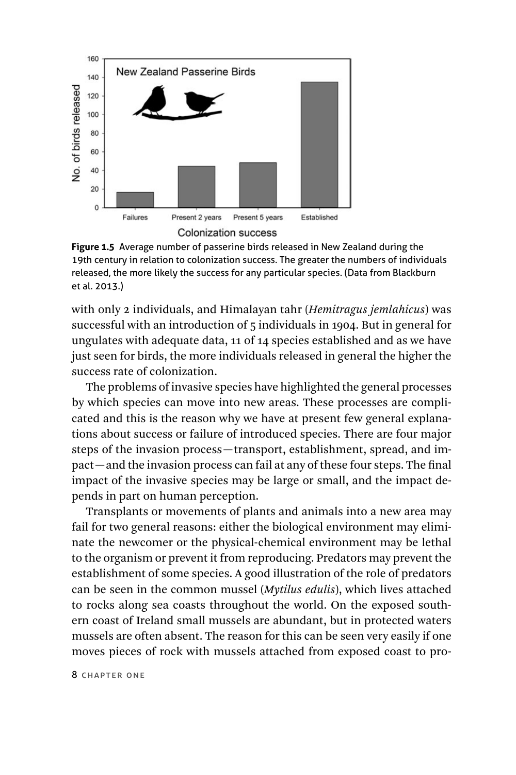

**Figure 1.5** Average number of passerine birds released in New Zealand during the 19th century in relation to colonization success. The greater the numbers of individuals released, the more likely the success for any particular species. (Data from Blackburn et al. 2013.)

with only 2 individuals, and Himalayan tahr (*Hemitragus jemlahicus*) was successful with an introduction of 5 individuals in 1904. But in general for ungulates with adequate data, 11 of 14 species established and as we have just seen for birds, the more individuals released in general the higher the success rate of colonization.

The problems of invasive species have highlighted the general processes by which species can move into new areas. These processes are complicated and this is the reason why we have at present few general explanations about success or failure of introduced species. There are four major steps of the invasion process—transport, establishment, spread, and impact—and the invasion process can fail at any of these four steps. The final impact of the invasive species may be large or small, and the impact depends in part on human perception.

Transplants or movements of plants and animals into a new area may fail for two general reasons: either the biological environment may eliminate the newcomer or the physical-chemical environment may be lethal to the organism or prevent it from reproducing. Predators may prevent the establishment of some species. A good illustration of the role of predators can be seen in the common mussel (*Mytilus edulis*), which lives attached to rocks along sea coasts throughout the world. On the exposed southern coast of Ireland small mussels are abundant, but in protected waters mussels are often absent. The reason for this can be seen very easily if one moves pieces of rock with mussels attached from exposed coast to pro-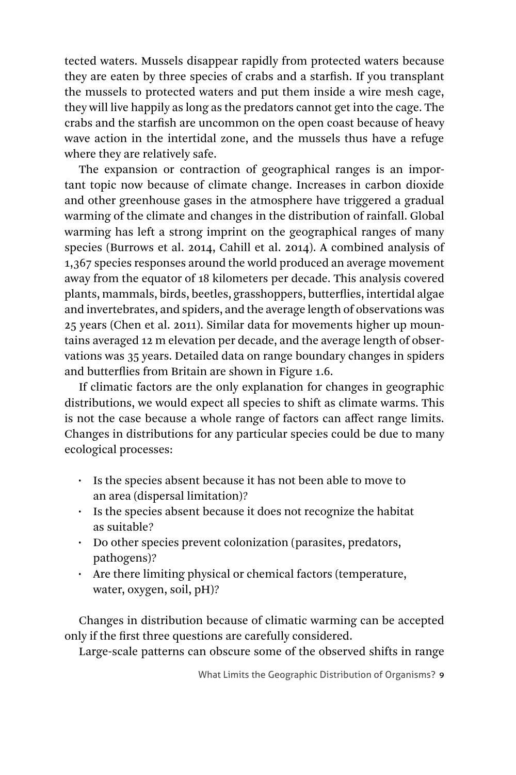tected waters. Mussels disappear rapidly from protected waters because they are eaten by three species of crabs and a starfish. If you transplant the mussels to protected waters and put them inside a wire mesh cage, they will live happily as long as the predators cannot get into the cage. The crabs and the starfish are uncommon on the open coast because of heavy wave action in the intertidal zone, and the mussels thus have a refuge where they are relatively safe.

The expansion or contraction of geographical ranges is an important topic now because of climate change. Increases in carbon dioxide and other greenhouse gases in the atmosphere have triggered a gradual warming of the climate and changes in the distribution of rainfall. Global warming has left a strong imprint on the geographical ranges of many species (Burrows et al. 2014, Cahill et al. 2014). A combined analysis of 1,367 species responses around the world produced an average movement away from the equator of 18 kilometers per decade. This analysis covered plants, mammals, birds, beetles, grasshoppers, butterflies, intertidal algae and invertebrates, and spiders, and the average length of observations was 25 years (Chen et al. 2011). Similar data for movements higher up mountains averaged 12 m elevation per decade, and the average length of observations was 35 years. Detailed data on range boundary changes in spiders and butterflies from Britain are shown in Figure 1.6.

If climatic factors are the only explanation for changes in geographic distributions, we would expect all species to shift as climate warms. This is not the case because a whole range of factors can affect range limits. Changes in distributions for any particular species could be due to many ecological processes:

- Is the species absent because it has not been able to move to an area (dispersal limitation)?
- Is the species absent because it does not recognize the habitat as suitable?
- Do other species prevent colonization (parasites, predators, pathogens)?
- Are there limiting physical or chemical factors (temperature, water, oxygen, soil, pH)?

Changes in distribution because of climatic warming can be accepted only if the first three questions are carefully considered.

Large-scale patterns can obscure some of the observed shifts in range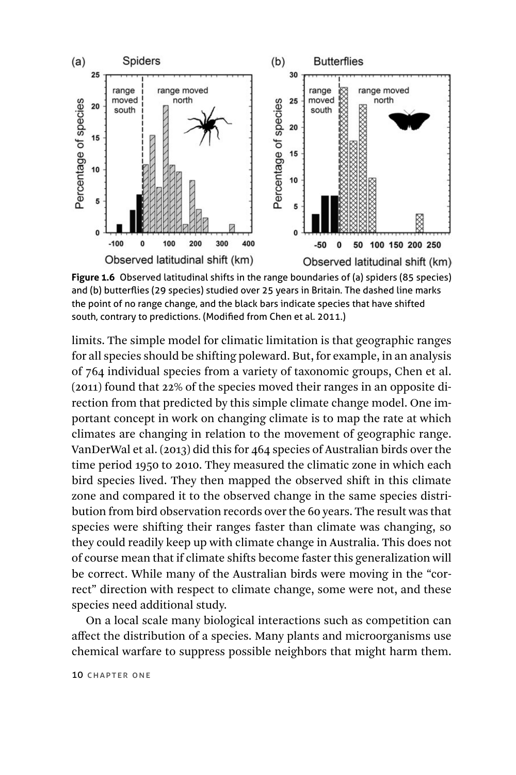

**Figure 1.6** Observed latitudinal shifts in the range boundaries of (a) spiders (85 species) and (b) butterflies (29 species) studied over 25 years in Britain. The dashed line marks the point of no range change, and the black bars indicate species that have shifted south, contrary to predictions. (Modified from Chen et al. 2011.)

limits. The simple model for climatic limitation is that geographic ranges for all species should be shifting poleward. But, for example, in an analysis of 764 individual species from a variety of taxonomic groups, Chen et al. (2011) found that 22% of the species moved their ranges in an opposite direction from that predicted by this simple climate change model. One important concept in work on changing climate is to map the rate at which climates are changing in relation to the movement of geographic range. VanDerWal et al. (2013) did this for 464 species of Australian birds over the time period 1950 to 2010. They measured the climatic zone in which each bird species lived. They then mapped the observed shift in this climate zone and compared it to the observed change in the same species distribution from bird observation records over the 60 years. The result was that species were shifting their ranges faster than climate was changing, so they could readily keep up with climate change in Australia. This does not of course mean that if climate shifts become faster this generalization will be correct. While many of the Australian birds were moving in the "correct" direction with respect to climate change, some were not, and these species need additional study.

On a local scale many biological interactions such as competition can affect the distribution of a species. Many plants and microorganisms use chemical warfare to suppress possible neighbors that might harm them.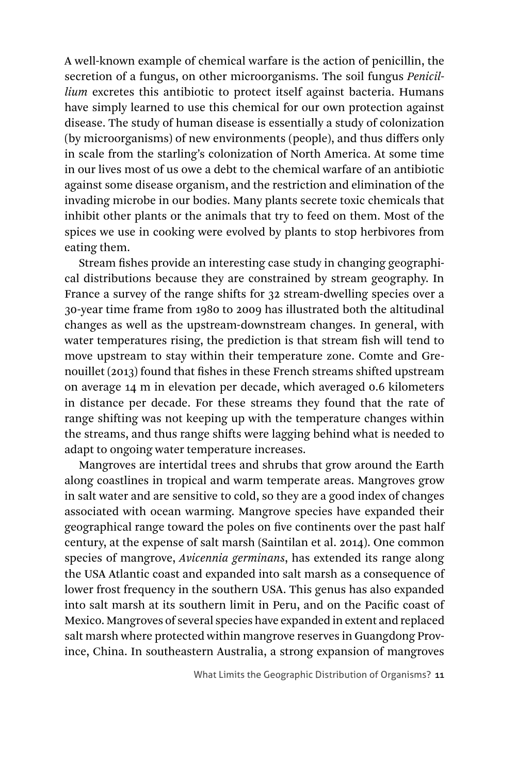A well-known example of chemical warfare is the action of penicillin, the secretion of a fungus, on other microorganisms. The soil fungus *Penicillium* excretes this antibiotic to protect itself against bacteria. Humans have simply learned to use this chemical for our own protection against disease. The study of human disease is essentially a study of colonization (by microorganisms) of new environments (people), and thus differs only in scale from the starling's colonization of North America. At some time in our lives most of us owe a debt to the chemical warfare of an antibiotic against some disease organism, and the restriction and elimination of the invading microbe in our bodies. Many plants secrete toxic chemicals that inhibit other plants or the animals that try to feed on them. Most of the spices we use in cooking were evolved by plants to stop herbivores from eating them.

Stream fishes provide an interesting case study in changing geographical distributions because they are constrained by stream geography. In France a survey of the range shifts for 32 stream-dwelling species over a 30-year time frame from 1980 to 2009 has illustrated both the altitudinal changes as well as the upstream-downstream changes. In general, with water temperatures rising, the prediction is that stream fish will tend to move upstream to stay within their temperature zone. Comte and Grenouillet (2013) found that fishes in these French streams shifted upstream on average 14 m in elevation per decade, which averaged 0.6 kilometers in distance per decade. For these streams they found that the rate of range shifting was not keeping up with the temperature changes within the streams, and thus range shifts were lagging behind what is needed to adapt to ongoing water temperature increases.

Mangroves are intertidal trees and shrubs that grow around the Earth along coastlines in tropical and warm temperate areas. Mangroves grow in salt water and are sensitive to cold, so they are a good index of changes associated with ocean warming. Mangrove species have expanded their geographical range toward the poles on five continents over the past half century, at the expense of salt marsh (Saintilan et al. 2014). One common species of mangrove, *Avicennia germinans*, has extended its range along the USA Atlantic coast and expanded into salt marsh as a consequence of lower frost frequency in the southern USA. This genus has also expanded into salt marsh at its southern limit in Peru, and on the Pacific coast of Mexico. Mangroves of several species have expanded in extent and replaced salt marsh where protected within mangrove reserves in Guangdong Province, China. In southeastern Australia, a strong expansion of mangroves